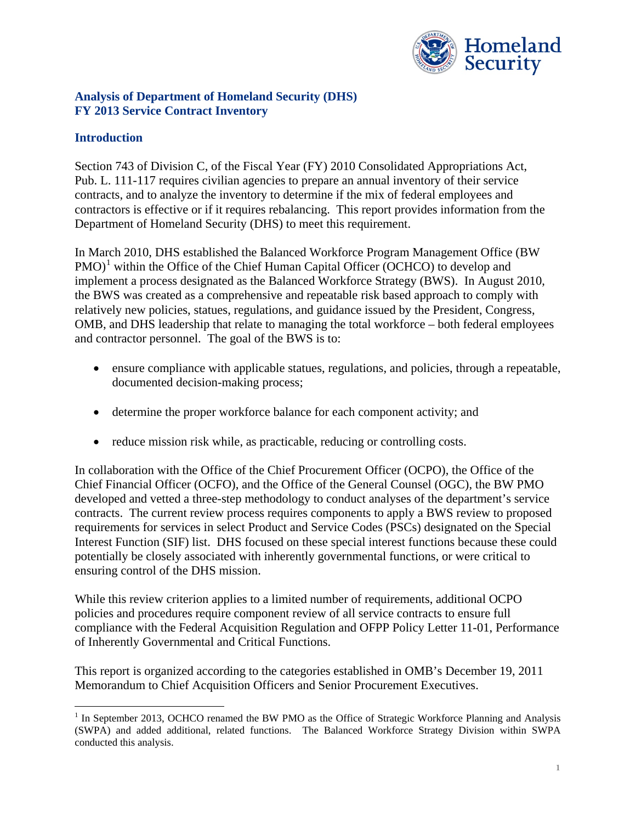

### **Analysis of Department of Homeland Security (DHS) FY 2013 Service Contract Inventory**

## **Introduction**

Section 743 of Division C, of the Fiscal Year (FY) 2010 Consolidated Appropriations Act, Pub. L. 111-117 requires civilian agencies to prepare an annual inventory of their service contracts, and to analyze the inventory to determine if the mix of federal employees and contractors is effective or if it requires rebalancing. This report provides information from the Department of Homeland Security (DHS) to meet this requirement.

In March 2010, DHS established the Balanced Workforce Program Management Office (BW  $PMO$ <sup>[1](#page-0-0)</sup> within the Office of the Chief Human Capital Officer (OCHCO) to develop and implement a process designated as the Balanced Workforce Strategy (BWS). In August 2010, the BWS was created as a comprehensive and repeatable risk based approach to comply with relatively new policies, statues, regulations, and guidance issued by the President, Congress, OMB, and DHS leadership that relate to managing the total workforce – both federal employees and contractor personnel. The goal of the BWS is to:

- ensure compliance with applicable statues, regulations, and policies, through a repeatable, documented decision-making process;
- determine the proper workforce balance for each component activity; and
- reduce mission risk while, as practicable, reducing or controlling costs.

In collaboration with the Office of the Chief Procurement Officer (OCPO), the Office of the Chief Financial Officer (OCFO), and the Office of the General Counsel (OGC), the BW PMO developed and vetted a three-step methodology to conduct analyses of the department's service contracts. The current review process requires components to apply a BWS review to proposed requirements for services in select Product and Service Codes (PSCs) designated on the Special Interest Function (SIF) list. DHS focused on these special interest functions because these could potentially be closely associated with inherently governmental functions, or were critical to ensuring control of the DHS mission.

While this review criterion applies to a limited number of requirements, additional OCPO policies and procedures require component review of all service contracts to ensure full compliance with the Federal Acquisition Regulation and OFPP Policy Letter 11-01, Performance of Inherently Governmental and Critical Functions.

This report is organized according to the categories established in OMB's December 19, 2011 Memorandum to Chief Acquisition Officers and Senior Procurement Executives.

<span id="page-0-0"></span><sup>&</sup>lt;sup>1</sup> In September 2013, OCHCO renamed the BW PMO as the Office of Strategic Workforce Planning and Analysis (SWPA) and added additional, related functions. The Balanced Workforce Strategy Division within SWPA conducted this analysis.  $\overline{a}$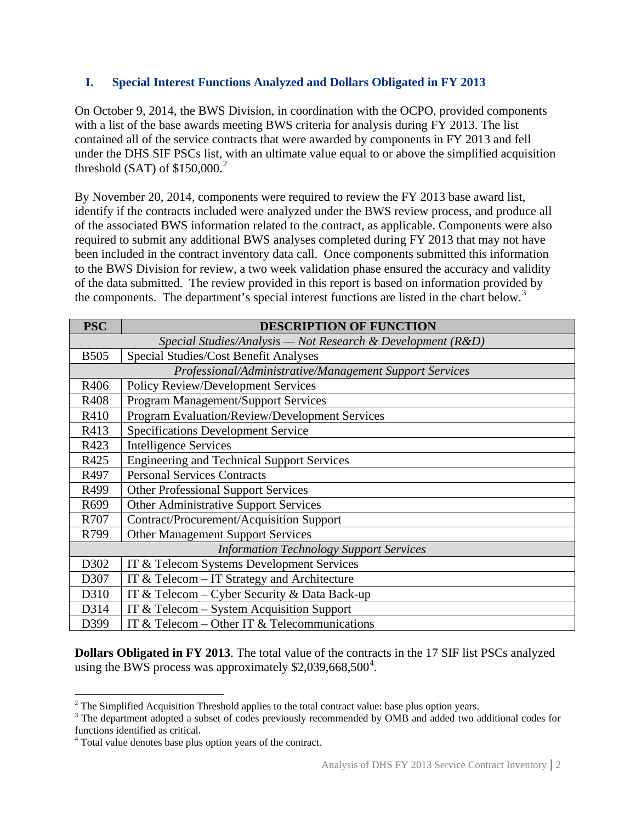### **I. Special Interest Functions Analyzed and Dollars Obligated in FY 2013**

On October 9, 2014, the BWS Division, in coordination with the OCPO, provided components with a list of the base awards meeting BWS criteria for analysis during FY 2013. The list contained all of the service contracts that were awarded by components in FY 2013 and fell under the DHS SIF PSCs list, with an ultimate value equal to or above the simplified acquisition threshold (SAT) of  $$150,000.<sup>2</sup>$  $$150,000.<sup>2</sup>$  $$150,000.<sup>2</sup>$ 

By November 20, 2014, components were required to review the FY 2013 base award list, identify if the contracts included were analyzed under the BWS review process, and produce all of the associated BWS information related to the contract, as applicable. Components were also required to submit any additional BWS analyses completed during FY 2013 that may not have been included in the contract inventory data call. Once components submitted this information to the BWS Division for review, a two week validation phase ensured the accuracy and validity of the data submitted. The review provided in this report is based on information provided by the components. The department's special interest functions are listed in the chart below.<sup>[3](#page-1-1)</sup>

| <b>PSC</b>                                                  | <b>DESCRIPTION OF FUNCTION</b>                        |  |  |
|-------------------------------------------------------------|-------------------------------------------------------|--|--|
| Special Studies/Analysis — Not Research & Development (R&D) |                                                       |  |  |
| <b>B505</b>                                                 | Special Studies/Cost Benefit Analyses                 |  |  |
| Professional/Administrative/Management Support Services     |                                                       |  |  |
| R406                                                        | <b>Policy Review/Development Services</b>             |  |  |
| R408                                                        | Program Management/Support Services                   |  |  |
| R410                                                        | <b>Program Evaluation/Review/Development Services</b> |  |  |
| R413                                                        | <b>Specifications Development Service</b>             |  |  |
| R423                                                        | <b>Intelligence Services</b>                          |  |  |
| R425                                                        | <b>Engineering and Technical Support Services</b>     |  |  |
| R497                                                        | <b>Personal Services Contracts</b>                    |  |  |
| R499                                                        | <b>Other Professional Support Services</b>            |  |  |
| R699                                                        | Other Administrative Support Services                 |  |  |
| R707                                                        | <b>Contract/Procurement/Acquisition Support</b>       |  |  |
| R799                                                        | <b>Other Management Support Services</b>              |  |  |
| <b>Information Technology Support Services</b>              |                                                       |  |  |
| D302                                                        | IT & Telecom Systems Development Services             |  |  |
| D307                                                        | IT & Telecom - IT Strategy and Architecture           |  |  |
| D310                                                        | IT & Telecom – Cyber Security & Data Back-up          |  |  |
| D314                                                        | IT & Telecom – System Acquisition Support             |  |  |
| D399                                                        | IT & Telecom – Other IT & Telecommunications          |  |  |

**Dollars Obligated in FY 2013**. The total value of the contracts in the 17 SIF list PSCs analyzed using the BWS process was approximately \$2,039,668,500<sup>[4](#page-1-2)</sup>.

<span id="page-1-0"></span> $2$  The Simplified Acquisition Threshold applies to the total contract value: base plus option years.

<span id="page-1-1"></span><sup>&</sup>lt;sup>3</sup> The department adopted a subset of codes previously recommended by OMB and added two additional codes for functions identified as critical.

<span id="page-1-2"></span><sup>&</sup>lt;sup>4</sup> Total value denotes base plus option years of the contract.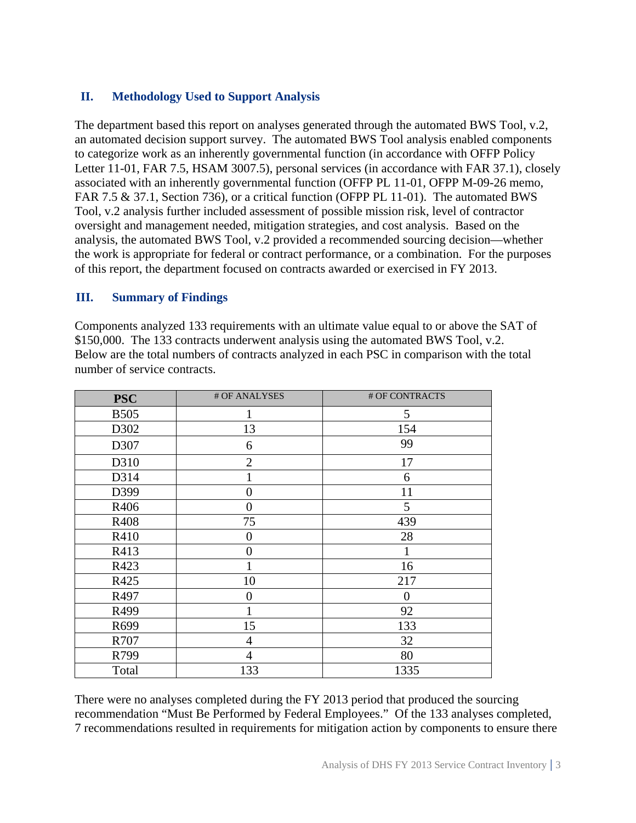## **II. Methodology Used to Support Analysis**

The department based this report on analyses generated through the automated BWS Tool, v.2, an automated decision support survey. The automated BWS Tool analysis enabled components to categorize work as an inherently governmental function (in accordance with OFFP Policy Letter 11-01, FAR 7.5, HSAM 3007.5), personal services (in accordance with FAR 37.1), closely associated with an inherently governmental function (OFFP PL 11-01, OFPP M-09-26 memo, FAR 7.5 & 37.1, Section 736), or a critical function (OFPP PL 11-01). The automated BWS Tool, v.2 analysis further included assessment of possible mission risk, level of contractor oversight and management needed, mitigation strategies, and cost analysis. Based on the analysis, the automated BWS Tool, v.2 provided a recommended sourcing decision—whether the work is appropriate for federal or contract performance, or a combination. For the purposes of this report, the department focused on contracts awarded or exercised in FY 2013.

#### **III. Summary of Findings**

Components analyzed 133 requirements with an ultimate value equal to or above the SAT of \$150,000. The 133 contracts underwent analysis using the automated BWS Tool, v.2. Below are the total numbers of contracts analyzed in each PSC in comparison with the total number of service contracts.

| <b>PSC</b>  | # OF ANALYSES  | # OF CONTRACTS |
|-------------|----------------|----------------|
| <b>B505</b> |                | 5              |
| D302        | 13             | 154            |
| D307        | 6              | 99             |
| D310        | $\overline{2}$ | 17             |
| D314        |                | 6              |
| D399        | $\overline{0}$ | 11             |
| R406        | 0              | 5              |
| R408        | 75             | 439            |
| R410        | 0              | 28             |
| R413        | 0              |                |
| R423        |                | 16             |
| R425        | 10             | 217            |
| R497        | 0              | $\theta$       |
| R499        | 1              | 92             |
| R699        | 15             | 133            |
| R707        | 4              | 32             |
| R799        | 4              | 80             |
| Total       | 133            | 1335           |

There were no analyses completed during the FY 2013 period that produced the sourcing recommendation "Must Be Performed by Federal Employees." Of the 133 analyses completed, 7 recommendations resulted in requirements for mitigation action by components to ensure there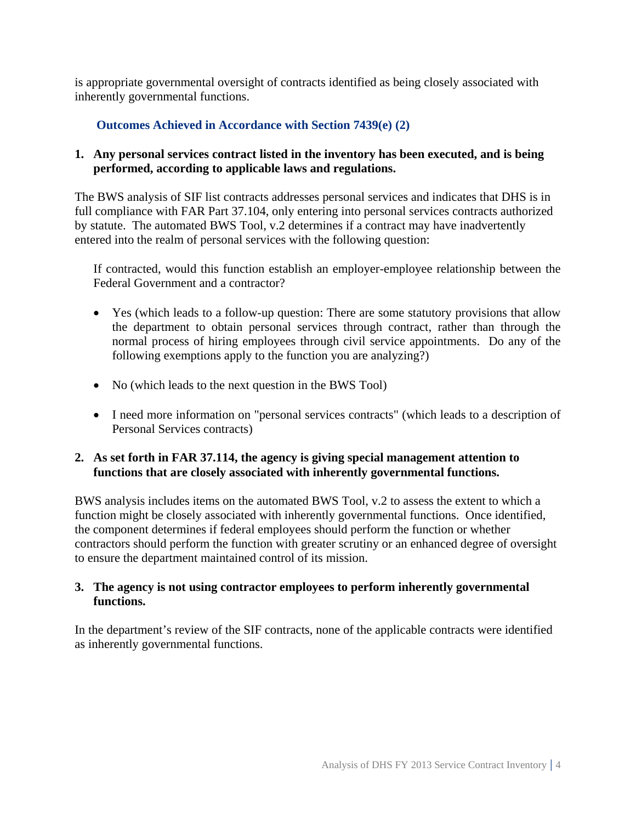is appropriate governmental oversight of contracts identified as being closely associated with inherently governmental functions.

## **Outcomes Achieved in Accordance with Section 7439(e) (2)**

### **1. Any personal services contract listed in the inventory has been executed, and is being performed, according to applicable laws and regulations.**

The BWS analysis of SIF list contracts addresses personal services and indicates that DHS is in full compliance with FAR Part 37.104, only entering into personal services contracts authorized by statute. The automated BWS Tool, v.2 determines if a contract may have inadvertently entered into the realm of personal services with the following question:

If contracted, would this function establish an employer-employee relationship between the Federal Government and a contractor?

- Yes (which leads to a follow-up question: There are some statutory provisions that allow the department to obtain personal services through contract, rather than through the normal process of hiring employees through civil service appointments. Do any of the following exemptions apply to the function you are analyzing?)
- No (which leads to the next question in the BWS Tool)
- I need more information on "personal services contracts" (which leads to a description of Personal Services contracts)

#### **2. As set forth in FAR 37.114, the agency is giving special management attention to functions that are closely associated with inherently governmental functions.**

BWS analysis includes items on the automated BWS Tool, v.2 to assess the extent to which a function might be closely associated with inherently governmental functions. Once identified, the component determines if federal employees should perform the function or whether contractors should perform the function with greater scrutiny or an enhanced degree of oversight to ensure the department maintained control of its mission.

#### **3. The agency is not using contractor employees to perform inherently governmental functions.**

In the department's review of the SIF contracts, none of the applicable contracts were identified as inherently governmental functions.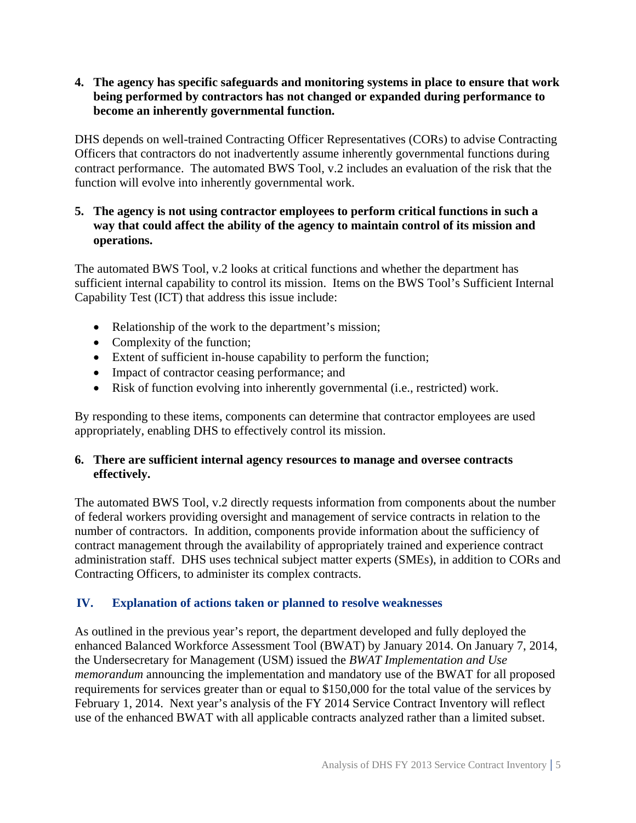#### **4. The agency has specific safeguards and monitoring systems in place to ensure that work being performed by contractors has not changed or expanded during performance to become an inherently governmental function.**

DHS depends on well-trained Contracting Officer Representatives (CORs) to advise Contracting Officers that contractors do not inadvertently assume inherently governmental functions during contract performance. The automated BWS Tool, v.2 includes an evaluation of the risk that the function will evolve into inherently governmental work.

## **5. The agency is not using contractor employees to perform critical functions in such a way that could affect the ability of the agency to maintain control of its mission and operations.**

The automated BWS Tool, v.2 looks at critical functions and whether the department has sufficient internal capability to control its mission. Items on the BWS Tool's Sufficient Internal Capability Test (ICT) that address this issue include:

- Relationship of the work to the department's mission;
- Complexity of the function;
- Extent of sufficient in-house capability to perform the function;
- Impact of contractor ceasing performance; and
- Risk of function evolving into inherently governmental (i.e., restricted) work.

By responding to these items, components can determine that contractor employees are used appropriately, enabling DHS to effectively control its mission.

#### **6. There are sufficient internal agency resources to manage and oversee contracts effectively.**

The automated BWS Tool, v.2 directly requests information from components about the number of federal workers providing oversight and management of service contracts in relation to the number of contractors. In addition, components provide information about the sufficiency of contract management through the availability of appropriately trained and experience contract administration staff. DHS uses technical subject matter experts (SMEs), in addition to CORs and Contracting Officers, to administer its complex contracts.

# **IV. Explanation of actions taken or planned to resolve weaknesses**

As outlined in the previous year's report, the department developed and fully deployed the enhanced Balanced Workforce Assessment Tool (BWAT) by January 2014. On January 7, 2014, the Undersecretary for Management (USM) issued the *BWAT Implementation and Use memorandum* announcing the implementation and mandatory use of the BWAT for all proposed requirements for services greater than or equal to \$150,000 for the total value of the services by February 1, 2014. Next year's analysis of the FY 2014 Service Contract Inventory will reflect use of the enhanced BWAT with all applicable contracts analyzed rather than a limited subset.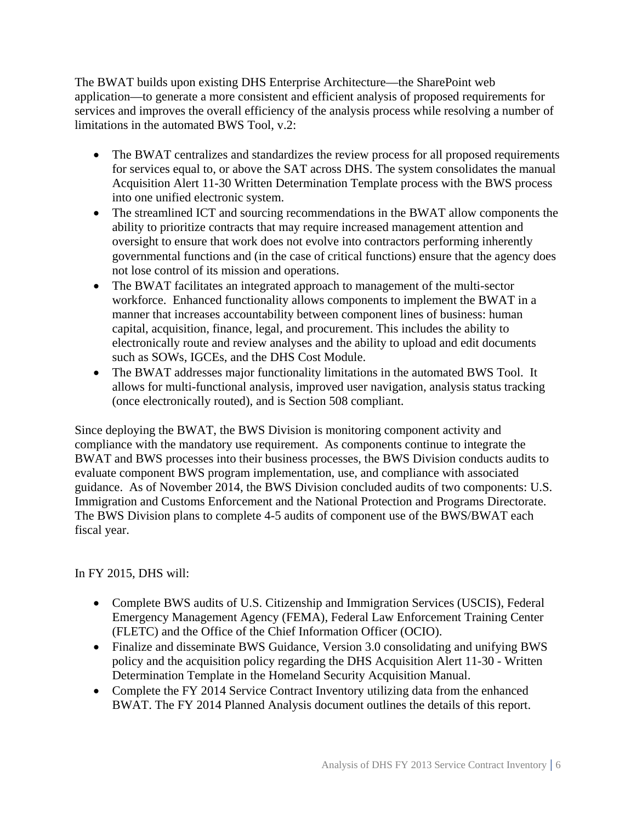The BWAT builds upon existing DHS Enterprise Architecture—the SharePoint web application—to generate a more consistent and efficient analysis of proposed requirements for services and improves the overall efficiency of the analysis process while resolving a number of limitations in the automated BWS Tool, v.2:

- The BWAT centralizes and standardizes the review process for all proposed requirements for services equal to, or above the SAT across DHS. The system consolidates the manual Acquisition Alert 11-30 Written Determination Template process with the BWS process into one unified electronic system.
- The streamlined ICT and sourcing recommendations in the BWAT allow components the ability to prioritize contracts that may require increased management attention and oversight to ensure that work does not evolve into contractors performing inherently governmental functions and (in the case of critical functions) ensure that the agency does not lose control of its mission and operations.
- The BWAT facilitates an integrated approach to management of the multi-sector workforce. Enhanced functionality allows components to implement the BWAT in a manner that increases accountability between component lines of business: human capital, acquisition, finance, legal, and procurement. This includes the ability to electronically route and review analyses and the ability to upload and edit documents such as SOWs, IGCEs, and the DHS Cost Module.
- The BWAT addresses major functionality limitations in the automated BWS Tool. It allows for multi-functional analysis, improved user navigation, analysis status tracking (once electronically routed), and is Section 508 compliant.

Since deploying the BWAT, the BWS Division is monitoring component activity and compliance with the mandatory use requirement. As components continue to integrate the BWAT and BWS processes into their business processes, the BWS Division conducts audits to evaluate component BWS program implementation, use, and compliance with associated guidance. As of November 2014, the BWS Division concluded audits of two components: U.S. Immigration and Customs Enforcement and the National Protection and Programs Directorate. The BWS Division plans to complete 4-5 audits of component use of the BWS/BWAT each fiscal year.

In FY 2015, DHS will:

- Complete BWS audits of U.S. Citizenship and Immigration Services (USCIS), Federal Emergency Management Agency (FEMA), Federal Law Enforcement Training Center (FLETC) and the Office of the Chief Information Officer (OCIO).
- Finalize and disseminate BWS Guidance, Version 3.0 consolidating and unifying BWS policy and the acquisition policy regarding the DHS Acquisition Alert 11-30 - Written Determination Template in the Homeland Security Acquisition Manual.
- Complete the FY 2014 Service Contract Inventory utilizing data from the enhanced BWAT. The FY 2014 Planned Analysis document outlines the details of this report.